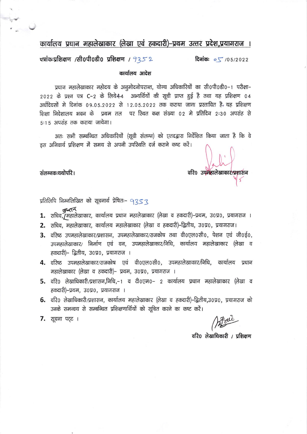कार्यालय प्रधान महालेखाकार (लेखा एवं हकदारी)–प्रथम उत्तर प्रदेश,प्रयागराज ।

पत्रांकःप्रशिक्षण /सी0पी0डी0 प्रशिक्षण /  $9352$ दिनांकः  $0.5/2022$ 

कार्यालय आदेश

प्रधान महालेखाकार महोदय के अनुमोदनोपरान्त, योग्य अधिकारियों का सी0पी0डी0–1 परीक्षा– 2022 के प्रश्न पत्र C-2 के लिये4-4 अभ्यर्थियों की सूची प्राप्त हुई है तथा यह प्रशिक्षण 04 अर्धदिवसों मे दिनांक ०९.०५.२०२२ से १२.०५.२०२२ तक कराया जाना प्रस्तावित है, यह प्रशिक्षण शिक्षा निदेशालय भवन के प्रथम तल पर रिथत कक्ष संख्या 02 मे प्रतिदिन 2:30 अपरांह से 5:15 अपराह तक कराया जायेगा।

अतः सभी सम्बन्धित अधिकारियों (सूची संलग्न) को एतदद्वारा निर्देशित किया जाता है कि वे इस अनिवार्य प्रशिक्षण में समय से अपनी उपस्थिति दर्ज कराने कष्ट करें।

वरि0 उपमहालेखाकारे/प्रशासन

संलग्नकःयथोपरि ।

प्रतिलिपि निम्नलिखित को सूचनार्थ प्रेषितः- 9353

- पुस्तन्ते ।<br>1. सचिव,/महालेखाकार, कार्यालय प्रधान महालेखाकार (लेखा व हकदारी)–प्रथम, उ०प्र०, प्रयागराज ।
- 2. सचिव, महालेखाकार, कार्यालय महालेखाकार (लेखा व हकदारी)–द्वितीय, उ०प्र०, प्रयागराज।
- 3. वरिष्ठ उपमहालेखाकार/प्रशासन, उपमहालेखाकार/राजकोष तथा वी0एल0सी0, पेशन एवं जी0ई0, उपमहालेखाकार/ निर्माण एवं वन, उपमहालेखाकार/निधि, कार्यालय महालेखाकार (लेखा व हकदारी)– द्वितीय, उ०प्र०, प्रयागराज ।
- 4. वरिष्ठ उपमहालेखाकार/राजकोष एवं वी०एल०सी०, उपमहालेखाकार/निधि, कार्यालय प्रधान महालेखाकार (लेखा व हकदारी)– प्रथम, उ०प्र०, प्रयागराज ।
- 5. वरि0 लेखाधिकारी/प्रशासन,निधि,–1 व टी0एम0– 2 कार्यालय प्रधान महालेखाकार (लेखा व हकदारी)–प्रथम, उ०प्र०, प्रयागराज ।
- 6. वरि0 लेखाधिकारी/प्रशासन, कार्यालय महालेखाकार (लेखा व हकदारी)–द्वितीय,उ०प्र०, प्रयागराज को उनके समन्वय से सम्बन्धित प्रशिक्षणार्थियों को सूचित करने का कष्ट करें।

7. सूचना पट्ट ।

वरि0 लेखाधिकारी / प्रशिक्षण